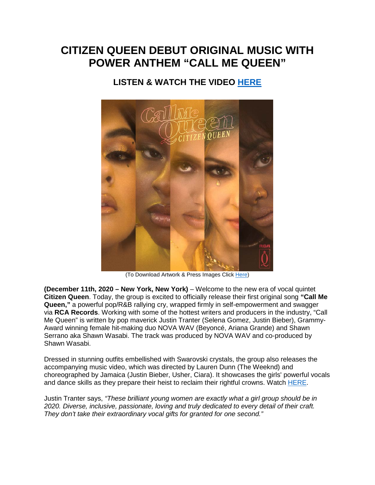# **CITIZEN QUEEN DEBUT ORIGINAL MUSIC WITH POWER ANTHEM "CALL ME QUEEN"**

## **LISTEN & WATCH THE VIDEO [HERE](https://smarturl.it/CallMeQueen)**



(To Download Artwork & Press Images Clic[k Here\)](https://app.box.com/s/h1rjkhqtt89k01jl5oaoq4ky7v0d9onh)

**(December 11th, 2020 – New York, New York)** – Welcome to the new era of vocal quintet **Citizen Queen**. Today, the group is excited to officially release their first original song **"Call Me Queen,"** a powerful pop/R&B rallying cry, wrapped firmly in self-empowerment and swagger via **RCA Records**. Working with some of the hottest writers and producers in the industry, "Call Me Queen" is written by pop maverick Justin Tranter (Selena Gomez, Justin Bieber), Grammy-Award winning female hit-making duo NOVA WAV (Beyoncé, Ariana Grande) and Shawn Serrano aka Shawn Wasabi. The track was produced by NOVA WAV and co-produced by Shawn Wasabi.

Dressed in stunning outfits embellished with Swarovski crystals, the group also releases the accompanying music video, which was directed by Lauren Dunn (The Weeknd) and choreographed by Jamaica (Justin Bieber, Usher, Ciara). It showcases the girls' powerful vocals and dance skills as they prepare their heist to reclaim their rightful crowns. Watch [HERE.](https://www.youtube.com/watch?v=RPXxNBOxaBs)

Justin Tranter says, *"These brilliant young women are exactly what a girl group should be in 2020. Diverse, inclusive, passionate, loving and truly dedicated to every detail of their craft. They don't take their extraordinary vocal gifts for granted for one second."*